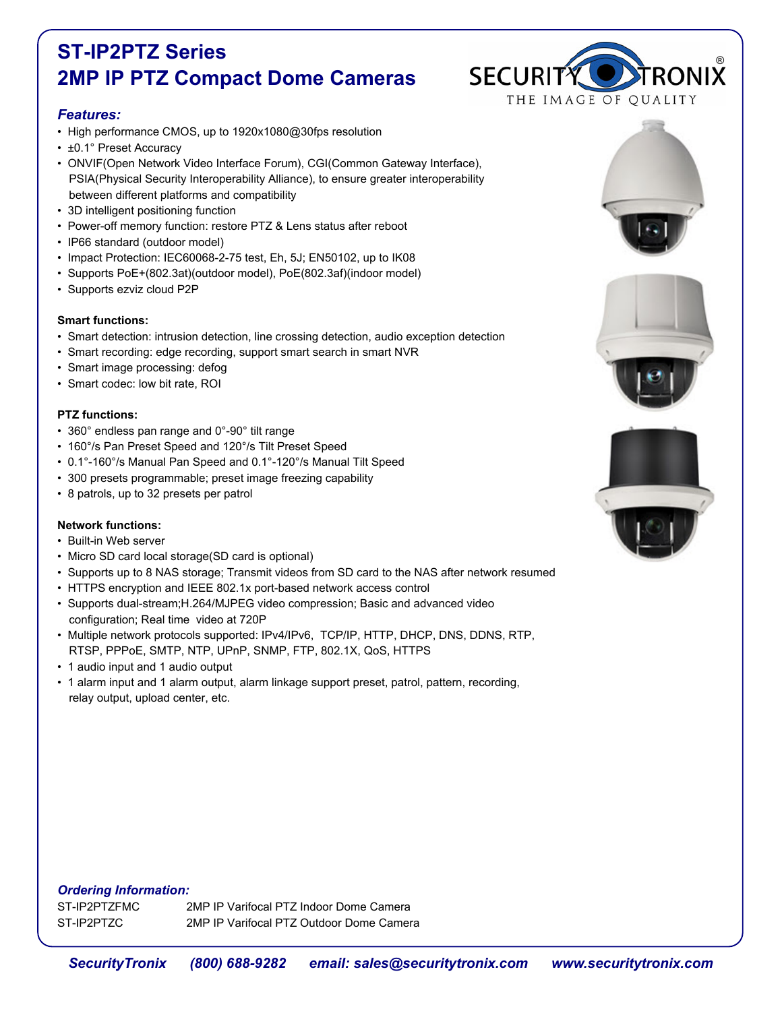# **ST-IP2PTZ Series 2MP IP PTZ Compact Dome Cameras**

## *Features:*

- High performance CMOS, up to 1920x1080@30fps resolution
- ±0.1° Preset Accuracy
- ONVIF(Open Network Video Interface Forum), CGI(Common Gateway Interface), PSIA(Physical Security Interoperability Alliance), to ensure greater interoperability between different platforms and compatibility
- 3D intelligent positioning function
- Power-off memory function: restore PTZ & Lens status after reboot
- IP66 standard (outdoor model)
- Impact Protection: IEC60068-2-75 test, Eh, 5J; EN50102, up to IK08
- Supports PoE+(802.3at)(outdoor model), PoE(802.3af)(indoor model)
- Supports ezviz cloud P2P

#### **Smart functions:**

- Smart detection: intrusion detection, line crossing detection, audio exception detection
- Smart recording: edge recording, support smart search in smart NVR
- Smart image processing: defog
- Smart codec: low bit rate, ROI

#### **PTZ functions:**

- 360° endless pan range and 0°-90° tilt range
- 160°/s Pan Preset Speed and 120°/s Tilt Preset Speed
- 0.1°-160°/s Manual Pan Speed and 0.1°-120°/s Manual Tilt Speed
- 300 presets programmable; preset image freezing capability
- 8 patrols, up to 32 presets per patrol

### **Network functions:**

- Built-in Web server
- Micro SD card local storage(SD card is optional)
- Supports up to 8 NAS storage; Transmit videos from SD card to the NAS after network resumed
- HTTPS encryption and IEEE 802.1x port-based network access control
- Supports dual-stream;H.264/MJPEG video compression; Basic and advanced video configuration; Real time video at 720P
- Multiple network protocols supported: IPv4/IPv6, TCP/IP, HTTP, DHCP, DNS, DDNS, RTP, RTSP, PPPoE, SMTP, NTP, UPnP, SNMP, FTP, 802.1X, QoS, HTTPS
- 1 audio input and 1 audio output
- 1 alarm input and 1 alarm output, alarm linkage support preset, patrol, pattern, recording, relay output, upload center, etc.







#### *Ordering Information:*

ST-IP2PTZFMC 2MP IP Varifocal PTZ Indoor Dome Camera ST-IP2PTZC 2MP IP Varifocal PTZ Outdoor Dome Camera